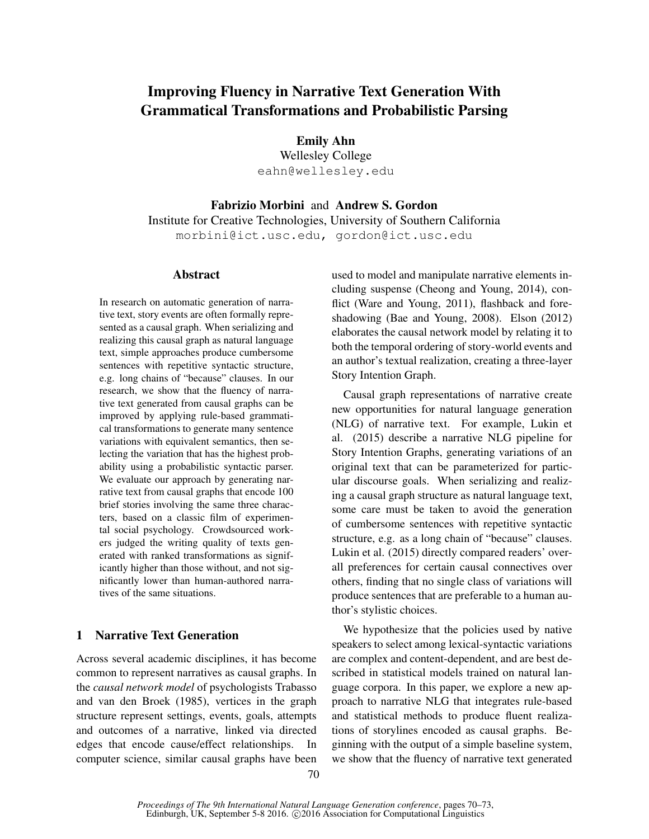# Improving Fluency in Narrative Text Generation With Grammatical Transformations and Probabilistic Parsing

Emily Ahn

Wellesley College eahn@wellesley.edu

Fabrizio Morbini and Andrew S. Gordon Institute for Creative Technologies, University of Southern California morbini@ict.usc.edu, gordon@ict.usc.edu

## Abstract

In research on automatic generation of narrative text, story events are often formally represented as a causal graph. When serializing and realizing this causal graph as natural language text, simple approaches produce cumbersome sentences with repetitive syntactic structure, e.g. long chains of "because" clauses. In our research, we show that the fluency of narrative text generated from causal graphs can be improved by applying rule-based grammatical transformations to generate many sentence variations with equivalent semantics, then selecting the variation that has the highest probability using a probabilistic syntactic parser. We evaluate our approach by generating narrative text from causal graphs that encode 100 brief stories involving the same three characters, based on a classic film of experimental social psychology. Crowdsourced workers judged the writing quality of texts generated with ranked transformations as significantly higher than those without, and not significantly lower than human-authored narratives of the same situations.

# 1 Narrative Text Generation

Across several academic disciplines, it has become common to represent narratives as causal graphs. In the *causal network model* of psychologists Trabasso and van den Broek (1985), vertices in the graph structure represent settings, events, goals, attempts and outcomes of a narrative, linked via directed edges that encode cause/effect relationships. In computer science, similar causal graphs have been used to model and manipulate narrative elements including suspense (Cheong and Young, 2014), conflict (Ware and Young, 2011), flashback and foreshadowing (Bae and Young, 2008). Elson (2012) elaborates the causal network model by relating it to both the temporal ordering of story-world events and an author's textual realization, creating a three-layer Story Intention Graph.

Causal graph representations of narrative create new opportunities for natural language generation (NLG) of narrative text. For example, Lukin et al. (2015) describe a narrative NLG pipeline for Story Intention Graphs, generating variations of an original text that can be parameterized for particular discourse goals. When serializing and realizing a causal graph structure as natural language text, some care must be taken to avoid the generation of cumbersome sentences with repetitive syntactic structure, e.g. as a long chain of "because" clauses. Lukin et al. (2015) directly compared readers' overall preferences for certain causal connectives over others, finding that no single class of variations will produce sentences that are preferable to a human author's stylistic choices.

We hypothesize that the policies used by native speakers to select among lexical-syntactic variations are complex and content-dependent, and are best described in statistical models trained on natural language corpora. In this paper, we explore a new approach to narrative NLG that integrates rule-based and statistical methods to produce fluent realizations of storylines encoded as causal graphs. Beginning with the output of a simple baseline system, we show that the fluency of narrative text generated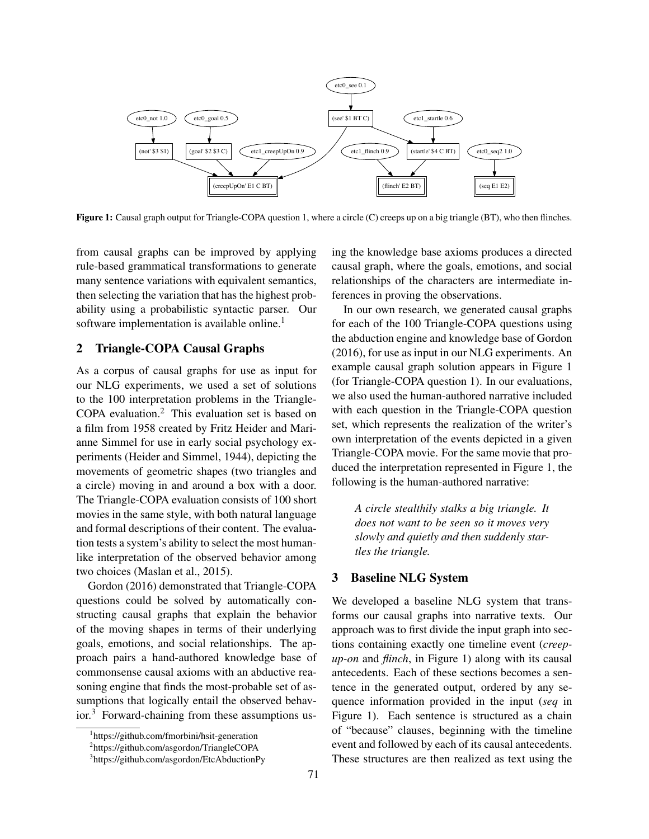

Figure 1: Causal graph output for Triangle-COPA question 1, where a circle (C) creeps up on a big triangle (BT), who then flinches.

from causal graphs can be improved by applying rule-based grammatical transformations to generate many sentence variations with equivalent semantics, then selecting the variation that has the highest probability using a probabilistic syntactic parser. Our software implementation is available online.<sup>1</sup>

## 2 Triangle-COPA Causal Graphs

As a corpus of causal graphs for use as input for our NLG experiments, we used a set of solutions to the 100 interpretation problems in the Triangle-COPA evaluation.<sup>2</sup> This evaluation set is based on a film from 1958 created by Fritz Heider and Marianne Simmel for use in early social psychology experiments (Heider and Simmel, 1944), depicting the movements of geometric shapes (two triangles and a circle) moving in and around a box with a door. The Triangle-COPA evaluation consists of 100 short movies in the same style, with both natural language and formal descriptions of their content. The evaluation tests a system's ability to select the most humanlike interpretation of the observed behavior among two choices (Maslan et al., 2015).

Gordon (2016) demonstrated that Triangle-COPA questions could be solved by automatically constructing causal graphs that explain the behavior of the moving shapes in terms of their underlying goals, emotions, and social relationships. The approach pairs a hand-authored knowledge base of commonsense causal axioms with an abductive reasoning engine that finds the most-probable set of assumptions that logically entail the observed behav- $\mathrm{ior.}^3$  Forward-chaining from these assumptions using the knowledge base axioms produces a directed causal graph, where the goals, emotions, and social relationships of the characters are intermediate inferences in proving the observations.

In our own research, we generated causal graphs for each of the 100 Triangle-COPA questions using the abduction engine and knowledge base of Gordon (2016), for use as input in our NLG experiments. An example causal graph solution appears in Figure 1 (for Triangle-COPA question 1). In our evaluations, we also used the human-authored narrative included with each question in the Triangle-COPA question set, which represents the realization of the writer's own interpretation of the events depicted in a given Triangle-COPA movie. For the same movie that produced the interpretation represented in Figure 1, the following is the human-authored narrative:

*A circle stealthily stalks a big triangle. It does not want to be seen so it moves very slowly and quietly and then suddenly startles the triangle.*

#### 3 Baseline NLG System

We developed a baseline NLG system that transforms our causal graphs into narrative texts. Our approach was to first divide the input graph into sections containing exactly one timeline event (*creepup-on* and *flinch*, in Figure 1) along with its causal antecedents. Each of these sections becomes a sentence in the generated output, ordered by any sequence information provided in the input (*seq* in Figure 1). Each sentence is structured as a chain of "because" clauses, beginning with the timeline event and followed by each of its causal antecedents. These structures are then realized as text using the

<sup>1</sup> https://github.com/fmorbini/hsit-generation

<sup>2</sup> https://github.com/asgordon/TriangleCOPA

<sup>3</sup> https://github.com/asgordon/EtcAbductionPy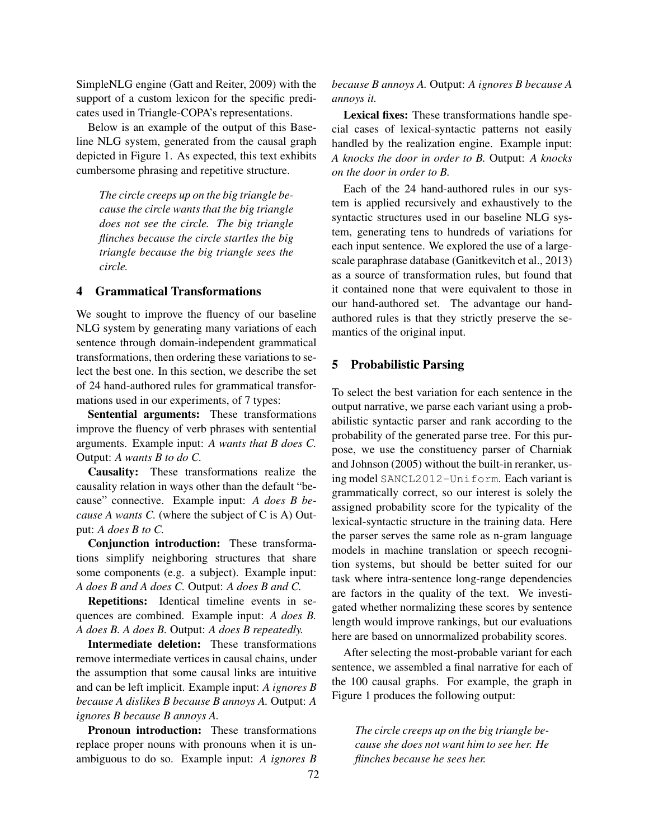SimpleNLG engine (Gatt and Reiter, 2009) with the support of a custom lexicon for the specific predicates used in Triangle-COPA's representations.

Below is an example of the output of this Baseline NLG system, generated from the causal graph depicted in Figure 1. As expected, this text exhibits cumbersome phrasing and repetitive structure.

*The circle creeps up on the big triangle because the circle wants that the big triangle does not see the circle. The big triangle flinches because the circle startles the big triangle because the big triangle sees the circle.*

## 4 Grammatical Transformations

We sought to improve the fluency of our baseline NLG system by generating many variations of each sentence through domain-independent grammatical transformations, then ordering these variations to select the best one. In this section, we describe the set of 24 hand-authored rules for grammatical transformations used in our experiments, of 7 types:

Sentential arguments: These transformations improve the fluency of verb phrases with sentential arguments. Example input: *A wants that B does C.* Output: *A wants B to do C.*

Causality: These transformations realize the causality relation in ways other than the default "because" connective. Example input: *A does B because A wants C.* (where the subject of C is A) Output: *A does B to C.*

Conjunction introduction: These transformations simplify neighboring structures that share some components (e.g. a subject). Example input: *A does B and A does C.* Output: *A does B and C.*

Repetitions: Identical timeline events in sequences are combined. Example input: *A does B. A does B. A does B.* Output: *A does B repeatedly.*

Intermediate deletion: These transformations remove intermediate vertices in causal chains, under the assumption that some causal links are intuitive and can be left implicit. Example input: *A ignores B because A dislikes B because B annoys A.* Output: *A ignores B because B annoys A.*

Pronoun introduction: These transformations replace proper nouns with pronouns when it is unambiguous to do so. Example input: *A ignores B* *because B annoys A.* Output: *A ignores B because A annoys it.*

Lexical fixes: These transformations handle special cases of lexical-syntactic patterns not easily handled by the realization engine. Example input: *A knocks the door in order to B.* Output: *A knocks on the door in order to B.*

Each of the 24 hand-authored rules in our system is applied recursively and exhaustively to the syntactic structures used in our baseline NLG system, generating tens to hundreds of variations for each input sentence. We explored the use of a largescale paraphrase database (Ganitkevitch et al., 2013) as a source of transformation rules, but found that it contained none that were equivalent to those in our hand-authored set. The advantage our handauthored rules is that they strictly preserve the semantics of the original input.

#### 5 Probabilistic Parsing

To select the best variation for each sentence in the output narrative, we parse each variant using a probabilistic syntactic parser and rank according to the probability of the generated parse tree. For this purpose, we use the constituency parser of Charniak and Johnson (2005) without the built-in reranker, using model SANCL2012-Uniform. Each variant is grammatically correct, so our interest is solely the assigned probability score for the typicality of the lexical-syntactic structure in the training data. Here the parser serves the same role as n-gram language models in machine translation or speech recognition systems, but should be better suited for our task where intra-sentence long-range dependencies are factors in the quality of the text. We investigated whether normalizing these scores by sentence length would improve rankings, but our evaluations here are based on unnormalized probability scores.

After selecting the most-probable variant for each sentence, we assembled a final narrative for each of the 100 causal graphs. For example, the graph in Figure 1 produces the following output:

*The circle creeps up on the big triangle because she does not want him to see her. He flinches because he sees her.*